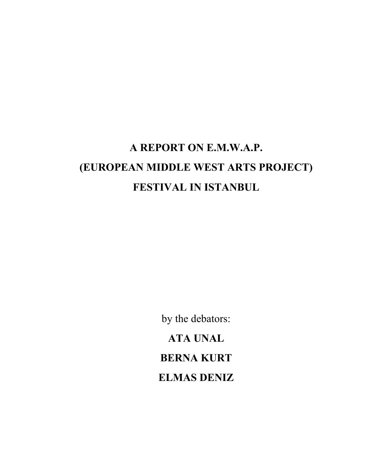# **A REPORT ON E.M.W.A.P. (EUROPEAN MIDDLE WEST ARTS PROJECT) FESTIVAL IN ISTANBUL**

by the debators: **ATA UNAL BERNA KURT ELMAS DENIZ**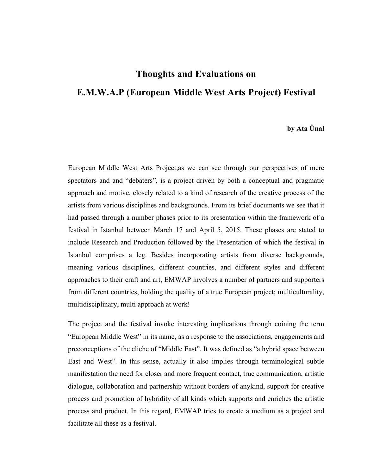### **Thoughts and Evaluations on E.M.W.A.P (European Middle West Arts Project) Festival**

### **by Ata Ünal**

European Middle West Arts Project,as we can see through our perspectives of mere spectators and and "debaters", is a project driven by both a conceptual and pragmatic approach and motive, closely related to a kind of research of the creative process of the artists from various disciplines and backgrounds. From its brief documents we see that it had passed through a number phases prior to its presentation within the framework of a festival in Istanbul between March 17 and April 5, 2015. These phases are stated to include Research and Production followed by the Presentation of which the festival in Istanbul comprises a leg. Besides incorporating artists from diverse backgrounds, meaning various disciplines, different countries, and different styles and different approaches to their craft and art, EMWAP involves a number of partners and supporters from different countries, holding the quality of a true European project; multiculturality, multidisciplinary, multi approach at work!

The project and the festival invoke interesting implications through coining the term "European Middle West" in its name, as a response to the associations, engagements and preconceptions of the cliche of "Middle East". It was defined as "a hybrid space between East and West". In this sense, actually it also implies through terminological subtle manifestation the need for closer and more frequent contact, true communication, artistic dialogue, collaboration and partnership without borders of anykind, support for creative process and promotion of hybridity of all kinds which supports and enriches the artistic process and product. In this regard, EMWAP tries to create a medium as a project and facilitate all these as a festival.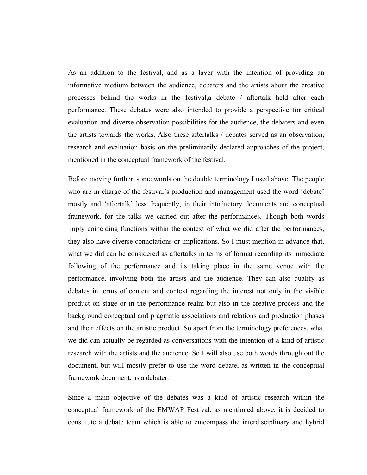As an addition to the festival, and as a layer with the intention of providing an informative medium between the audience, debaters and the artists about the creative processes behind the works in the festival,a debate / aftertalk held after each performance. These debates were also intended to provide a perspective for critical evaluation and diverse observation possibilities for the audience, the debaters and even the artists towards the works. Also these aftertalks / debates served as an observation, research and evaluation basis on the preliminarily declared approaches of the project, mentioned in the conceptual framework of the festival.

Before moving further, some words on the double terminology I used above: The people who are in charge of the festival's production and management used the word 'debate' mostly and 'aftertalk' less frequently, in their intoductory documents and conceptual framework, for the talks we carried out after the performances. Though both words imply coinciding functions within the context of what we did after the performances, they also have diverse connotations or implications. So I must mention in advance that, what we did can be considered as aftertalks in terms of format regarding its immediate following of the performance and its taking place in the same venue with the performance, involving both the artists and the audience. They can also qualify as debates in terms of content and context regarding the interest not only in the visible product on stage or in the performance realm but also in the creative process and the background conceptual and pragmatic associations and relations and production phases and their effects on the artistic product. So apart from the terminology preferences, what we did can actually be regarded as conversations with the intention of a kind of artistic research with the artists and the audience. So I will also use both words through out the document, but will mostly prefer to use the word debate, as written in the conceptual framework document, as a debater.

Since a main objective of the debates was a kind of artistic research within the conceptual framework of the EMWAP Festival, as mentioned above, it is decided to constitute a debate team which is able to emcompass the interdisciplinary and hybrid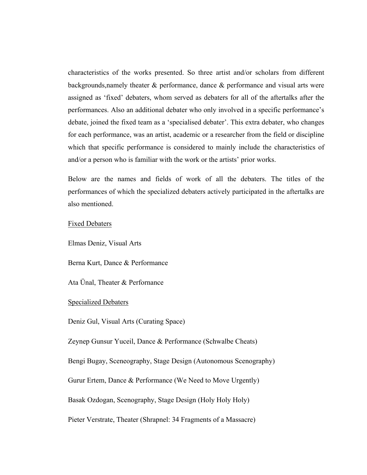characteristics of the works presented. So three artist and/or scholars from different backgrounds,namely theater & performance, dance & performance and visual arts were assigned as 'fixed' debaters, whom served as debaters for all of the aftertalks after the performances. Also an additional debater who only involved in a specific performance's debate, joined the fixed team as a 'specialised debater'. This extra debater, who changes for each performance, was an artist, academic or a researcher from the field or discipline which that specific performance is considered to mainly include the characteristics of and/or a person who is familiar with the work or the artists' prior works.

Below are the names and fields of work of all the debaters. The titles of the performances of which the specialized debaters actively participated in the aftertalks are also mentioned.

#### Fixed Debaters

Elmas Deniz, Visual Arts

Berna Kurt, Dance & Performance

Ata Ünal, Theater & Perfornance

#### Specialized Debaters

Deniz Gul, Visual Arts (Curating Space)

Zeynep Gunsur Yuceil, Dance & Performance (Schwalbe Cheats)

Bengi Bugay, Sceneography, Stage Design (Autonomous Scenography)

Gurur Ertem, Dance & Performance (We Need to Move Urgently)

Basak Ozdogan, Scenography, Stage Design (Holy Holy Holy)

Pieter Verstrate, Theater (Shrapnel: 34 Fragments of a Massacre)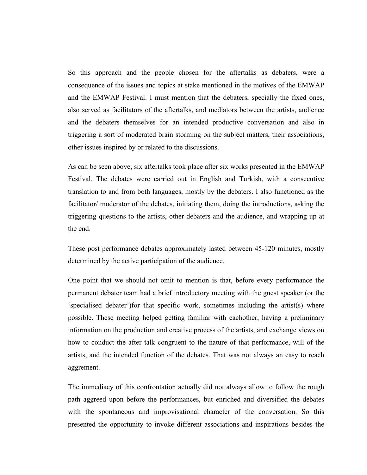So this approach and the people chosen for the aftertalks as debaters, were a consequence of the issues and topics at stake mentioned in the motives of the EMWAP and the EMWAP Festival. I must mention that the debaters, specially the fixed ones, also served as facilitators of the aftertalks, and mediators between the artists, audience and the debaters themselves for an intended productive conversation and also in triggering a sort of moderated brain storming on the subject matters, their associations, other issues inspired by or related to the discussions.

As can be seen above, six aftertalks took place after six works presented in the EMWAP Festival. The debates were carried out in English and Turkish, with a consecutive translation to and from both languages, mostly by the debaters. I also functioned as the facilitator/ moderator of the debates, initiating them, doing the introductions, asking the triggering questions to the artists, other debaters and the audience, and wrapping up at the end.

These post performance debates approximately lasted between 45-120 minutes, mostly determined by the active participation of the audience.

One point that we should not omit to mention is that, before every performance the permanent debater team had a brief introductory meeting with the guest speaker (or the 'specialised debater')for that specific work, sometimes including the artist(s) where possible. These meeting helped getting familiar with eachother, having a preliminary information on the production and creative process of the artists, and exchange views on how to conduct the after talk congruent to the nature of that performance, will of the artists, and the intended function of the debates. That was not always an easy to reach aggrement.

The immediacy of this confrontation actually did not always allow to follow the rough path aggreed upon before the performances, but enriched and diversified the debates with the spontaneous and improvisational character of the conversation. So this presented the opportunity to invoke different associations and inspirations besides the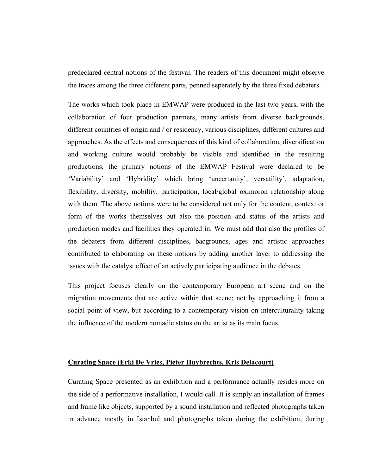predeclared central notions of the festival. The readers of this document might observe the traces among the three different parts, penned seperately by the three fixed debaters.

The works which took place in EMWAP were produced in the last two years, with the collaboration of four production partners, many artists from diverse backgrounds, different countries of origin and / or residency, various disciplines, different cultures and approaches. As the effects and consequences of this kind of collaboration, diversification and working culture would probably be visible and identified in the resulting productions, the primary notions of the EMWAP Festival were declared to be 'Variability' and 'Hybridity' which bring 'uncertanity', versatility', adaptation, flexibility, diversity, mobiltiy, participation, local/global oximoron relationship along with them. The above notions were to be considered not only for the content, context or form of the works themselves but also the position and status of the artists and production modes and facilities they operated in. We must add that also the profiles of the debaters from different disciplines, bacgrounds, ages and artistic approaches contributed to elaborating on these notions by adding another layer to addressing the issues with the catalyst effect of an actively participating audience in the debates.

This project focuses clearly on the contemporary European art scene and on the migration movements that are active within that scene; not by approaching it from a social point of view, but according to a contemporary vision on interculturality taking the influence of the modern nomadic status on the artist as its main focus.

#### **Curating Space (Erki De Vries, Pieter Huybrechts, Kris Delacourt)**

Curating Space presented as an exhibition and a performance actually resides more on the side of a performative installation, I would call. It is simply an installation of frames and frame like objects, supported by a sound installation and reflected photographs taken in advance mostly in Istanbul and photographs taken during the exhibition, during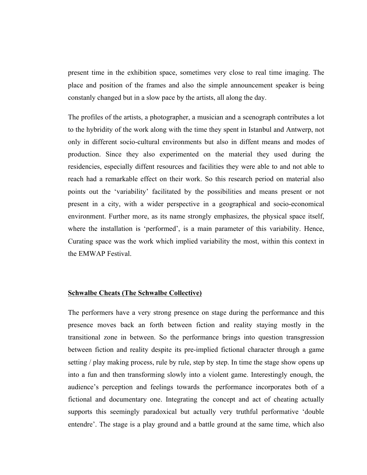present time in the exhibition space, sometimes very close to real time imaging. The place and position of the frames and also the simple announcement speaker is being constanly changed but in a slow pace by the artists, all along the day.

The profiles of the artists, a photographer, a musician and a scenograph contributes a lot to the hybridity of the work along with the time they spent in Istanbul and Antwerp, not only in different socio-cultural environments but also in diffent means and modes of production. Since they also experimented on the material they used during the residencies, especially diffent resources and facilities they were able to and not able to reach had a remarkable effect on their work. So this research period on material also points out the 'variability' facilitated by the possibilities and means present or not present in a city, with a wider perspective in a geographical and socio-economical environment. Further more, as its name strongly emphasizes, the physical space itself, where the installation is 'performed', is a main parameter of this variability. Hence, Curating space was the work which implied variability the most, within this context in the EMWAP Festival.

#### **Schwalbe Cheats (The Schwalbe Collective)**

The performers have a very strong presence on stage during the performance and this presence moves back an forth between fiction and reality staying mostly in the transitional zone in between. So the performance brings into question transgression between fiction and reality despite its pre-implied fictional character through a game setting / play making process, rule by rule, step by step. In time the stage show opens up into a fun and then transforming slowly into a violent game. Interestingly enough, the audience's perception and feelings towards the performance incorporates both of a fictional and documentary one. Integrating the concept and act of cheating actually supports this seemingly paradoxical but actually very truthful performative 'double entendre'. The stage is a play ground and a battle ground at the same time, which also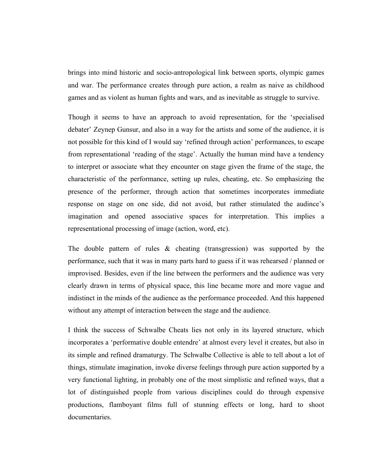brings into mind historic and socio-antropological link between sports, olympic games and war. The performance creates through pure action, a realm as naive as childhood games and as violent as human fights and wars, and as inevitable as struggle to survive.

Though it seems to have an approach to avoid representation, for the 'specialised debater' Zeynep Gunsur, and also in a way for the artists and some of the audience, it is not possible for this kind of I would say 'refined through action' performances, to escape from representational 'reading of the stage'. Actually the human mind have a tendency to interpret or associate what they encounter on stage given the frame of the stage, the characteristic of the performance, setting up rules, cheating, etc. So emphasizing the presence of the performer, through action that sometimes incorporates immediate response on stage on one side, did not avoid, but rather stimulated the audince's imagination and opened associative spaces for interpretation. This implies a representational processing of image (action, word, etc).

The double pattern of rules  $\&$  cheating (transgression) was supported by the performance, such that it was in many parts hard to guess if it was rehearsed / planned or improvised. Besides, even if the line between the performers and the audience was very clearly drawn in terms of physical space, this line became more and more vague and indistinct in the minds of the audience as the performance proceeded. And this happened without any attempt of interaction between the stage and the audience.

I think the success of Schwalbe Cheats lies not only in its layered structure, which incorporates a 'performative double entendre' at almost every level it creates, but also in its simple and refined dramaturgy. The Schwalbe Collective is able to tell about a lot of things, stimulate imagination, invoke diverse feelings through pure action supported by a very functional lighting, in probably one of the most simplistic and refined ways, that a lot of distinguished people from various disciplines could do through expensive productions, flamboyant films full of stunning effects or long, hard to shoot documentaries.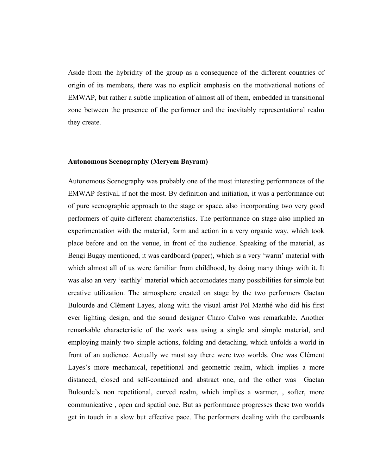Aside from the hybridity of the group as a consequence of the different countries of origin of its members, there was no explicit emphasis on the motivational notions of EMWAP, but rather a subtle implication of almost all of them, embedded in transitional zone between the presence of the performer and the inevitably representational realm they create.

#### **Autonomous Scenography (Meryem Bayram)**

Autonomous Scenography was probably one of the most interesting performances of the EMWAP festival, if not the most. By definition and initiation, it was a performance out of pure scenographic approach to the stage or space, also incorporating two very good performers of quite different characteristics. The performance on stage also implied an experimentation with the material, form and action in a very organic way, which took place before and on the venue, in front of the audience. Speaking of the material, as Bengi Bugay mentioned, it was cardboard (paper), which is a very 'warm' material with which almost all of us were familiar from childhood, by doing many things with it. It was also an very 'earthly' material which accomodates many possibilities for simple but creative utilization. The atmosphere created on stage by the two performers Gaetan Bulourde and Clément Layes, along with the visual artist Pol Matthé who did his first ever lighting design, and the sound designer Charo Calvo was remarkable. Another remarkable characteristic of the work was using a single and simple material, and employing mainly two simple actions, folding and detaching, which unfolds a world in front of an audience. Actually we must say there were two worlds. One was Clément Layes's more mechanical, repetitional and geometric realm, which implies a more distanced, closed and self-contained and abstract one, and the other was Gaetan Bulourde's non repetitional, curved realm, which implies a warmer, , softer, more communicative , open and spatial one. But as performance progresses these two worlds get in touch in a slow but effective pace. The performers dealing with the cardboards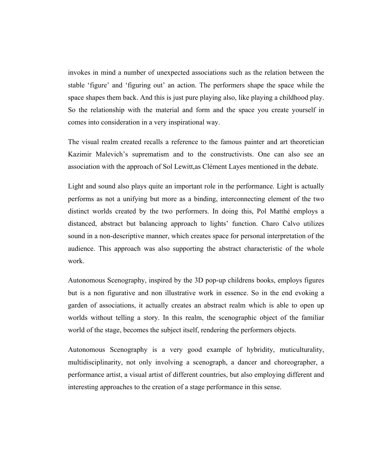invokes in mind a number of unexpected associations such as the relation between the stable 'figure' and 'figuring out' an action. The performers shape the space while the space shapes them back. And this is just pure playing also, like playing a childhood play. So the relationship with the material and form and the space you create yourself in comes into consideration in a very inspirational way.

The visual realm created recalls a reference to the famous painter and art theoretician Kazimir Malevich's suprematism and to the constructivists. One can also see an association with the approach of Sol Lewitt,as Clément Layes mentioned in the debate.

Light and sound also plays quite an important role in the performance. Light is actually performs as not a unifying but more as a binding, interconnecting element of the two distinct worlds created by the two performers. In doing this, Pol Matthé employs a distanced, abstract but balancing approach to lights' function. Charo Calvo utilizes sound in a non-descriptive manner, which creates space for personal interpretation of the audience. This approach was also supporting the abstract characteristic of the whole work.

Autonomous Scenography, inspired by the 3D pop-up childrens books, employs figures but is a non figurative and non illustrative work in essence. So in the end evoking a garden of associations, it actually creates an abstract realm which is able to open up worlds without telling a story. In this realm, the scenographic object of the familiar world of the stage, becomes the subject itself, rendering the performers objects.

Autonomous Scenography is a very good example of hybridity, muticulturality, multidisciplinarity, not only involving a scenograph, a dancer and choreographer, a performance artist, a visual artist of different countries, but also employing different and interesting approaches to the creation of a stage performance in this sense.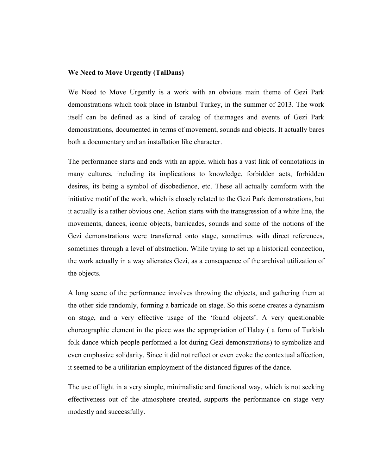#### **We Need to Move Urgently (TalDans)**

We Need to Move Urgently is a work with an obvious main theme of Gezi Park demonstrations which took place in Istanbul Turkey, in the summer of 2013. The work itself can be defined as a kind of catalog of theimages and events of Gezi Park demonstrations, documented in terms of movement, sounds and objects. It actually bares both a documentary and an installation like character.

The performance starts and ends with an apple, which has a vast link of connotations in many cultures, including its implications to knowledge, forbidden acts, forbidden desires, its being a symbol of disobedience, etc. These all actually comform with the initiative motif of the work, which is closely related to the Gezi Park demonstrations, but it actually is a rather obvious one. Action starts with the transgression of a white line, the movements, dances, iconic objects, barricades, sounds and some of the notions of the Gezi demonstrations were transferred onto stage, sometimes with direct references, sometimes through a level of abstraction. While trying to set up a historical connection, the work actually in a way alienates Gezi, as a consequence of the archival utilization of the objects.

A long scene of the performance involves throwing the objects, and gathering them at the other side randomly, forming a barricade on stage. So this scene creates a dynamism on stage, and a very effective usage of the 'found objects'. A very questionable choreographic element in the piece was the appropriation of Halay ( a form of Turkish folk dance which people performed a lot during Gezi demonstrations) to symbolize and even emphasize solidarity. Since it did not reflect or even evoke the contextual affection, it seemed to be a utilitarian employment of the distanced figures of the dance.

The use of light in a very simple, minimalistic and functional way, which is not seeking effectiveness out of the atmosphere created, supports the performance on stage very modestly and successfully.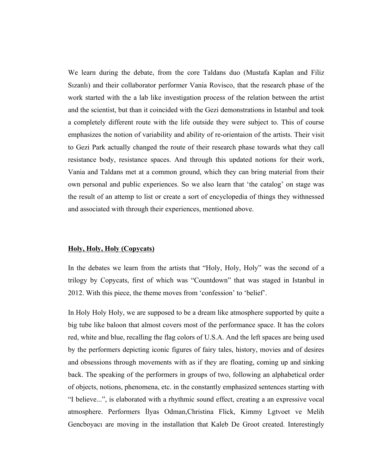We learn during the debate, from the core Taldans duo (Mustafa Kaplan and Filiz Sızanlı) and their collaborator performer Vania Rovisco, that the research phase of the work started with the a lab like investigation process of the relation between the artist and the scientist, but than it coincided with the Gezi demonstrations in Istanbul and took a completely different route with the life outside they were subject to. This of course emphasizes the notion of variability and ability of re-orientaion of the artists. Their visit to Gezi Park actually changed the route of their research phase towards what they call resistance body, resistance spaces. And through this updated notions for their work, Vania and Taldans met at a common ground, which they can bring material from their own personal and public experiences. So we also learn that 'the catalog' on stage was the result of an attemp to list or create a sort of encyclopedia of things they withnessed and associated with through their experiences, mentioned above.

#### **Holy, Holy, Holy (Copycats)**

In the debates we learn from the artists that "Holy, Holy, Holy" was the second of a trilogy by Copycats, first of which was "Countdown" that was staged in Istanbul in 2012. With this piece, the theme moves from 'confession' to 'belief'.

In Holy Holy Holy, we are supposed to be a dream like atmosphere supported by quite a big tube like baloon that almost covers most of the performance space. It has the colors red, white and blue, recalling the flag colors of U.S.A. And the left spaces are being used by the performers depicting iconic figures of fairy tales, history, movies and of desires and obsessions through movements with as if they are floating, coming up and sinking back. The speaking of the performers in groups of two, following an alphabetical order of objects, notions, phenomena, etc. in the constantly emphasized sentences starting with "I believe...", is elaborated with a rhythmic sound effect, creating a an expressive vocal atmosphere. Performers İlyas Odman,Christina Flick, Kimmy Lgtvoet ve Melih Gencboyacı are moving in the installation that Kaleb De Groot created. Interestingly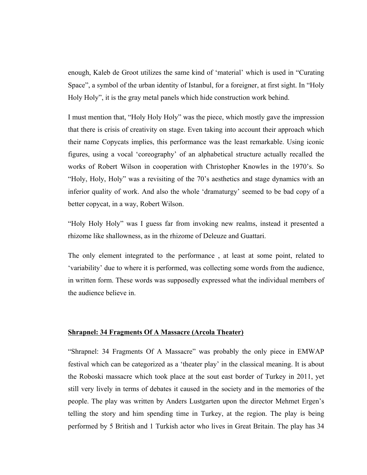enough, Kaleb de Groot utilizes the same kind of 'material' which is used in "Curating Space", a symbol of the urban identity of Istanbul, for a foreigner, at first sight. In "Holy Holy Holy", it is the gray metal panels which hide construction work behind.

I must mention that, "Holy Holy Holy" was the piece, which mostly gave the impression that there is crisis of creativity on stage. Even taking into account their approach which their name Copycats implies, this performance was the least remarkable. Using iconic figures, using a vocal 'coreography' of an alphabetical structure actually recalled the works of Robert Wilson in cooperation with Christopher Knowles in the 1970's. So "Holy, Holy, Holy" was a revisiting of the 70's aesthetics and stage dynamics with an inferior quality of work. And also the whole 'dramaturgy' seemed to be bad copy of a better copycat, in a way, Robert Wilson.

"Holy Holy Holy" was I guess far from invoking new realms, instead it presented a rhizome like shallowness, as in the rhizome of Deleuze and Guattari.

The only element integrated to the performance , at least at some point, related to 'variability' due to where it is performed, was collecting some words from the audience, in written form. These words was supposedly expressed what the individual members of the audience believe in.

#### **Shrapnel: 34 Fragments Of A Massacre (Arcola Theater)**

"Shrapnel: 34 Fragments Of A Massacre" was probably the only piece in EMWAP festival which can be categorized as a 'theater play' in the classical meaning. It is about the Roboski massacre which took place at the sout east border of Turkey in 2011, yet still very lively in terms of debates it caused in the society and in the memories of the people. The play was written by Anders Lustgarten upon the director Mehmet Ergen's telling the story and him spending time in Turkey, at the region. The play is being performed by 5 British and 1 Turkish actor who lives in Great Britain. The play has 34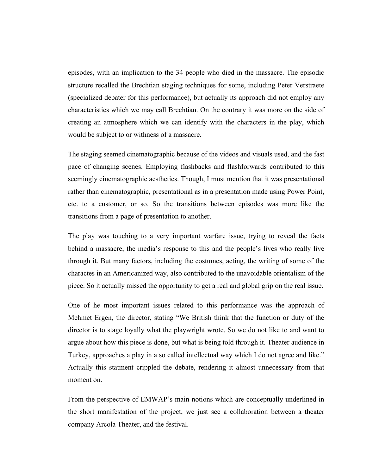episodes, with an implication to the 34 people who died in the massacre. The episodic structure recalled the Brechtian staging techniques for some, including Peter Verstraete (specialized debater for this performance), but actually its approach did not employ any characteristics which we may call Brechtian. On the contrary it was more on the side of creating an atmosphere which we can identify with the characters in the play, which would be subject to or withness of a massacre.

The staging seemed cinematographic because of the videos and visuals used, and the fast pace of changing scenes. Employing flashbacks and flashforwards contributed to this seemingly cinematographic aesthetics. Though, I must mention that it was presentational rather than cinematographic, presentational as in a presentation made using Power Point, etc. to a customer, or so. So the transitions between episodes was more like the transitions from a page of presentation to another.

The play was touching to a very important warfare issue, trying to reveal the facts behind a massacre, the media's response to this and the people's lives who really live through it. But many factors, including the costumes, acting, the writing of some of the charactes in an Americanized way, also contributed to the unavoidable orientalism of the piece. So it actually missed the opportunity to get a real and global grip on the real issue.

One of he most important issues related to this performance was the approach of Mehmet Ergen, the director, stating "We British think that the function or duty of the director is to stage loyally what the playwright wrote. So we do not like to and want to argue about how this piece is done, but what is being told through it. Theater audience in Turkey, approaches a play in a so called intellectual way which I do not agree and like." Actually this statment crippled the debate, rendering it almost unnecessary from that moment on.

From the perspective of EMWAP's main notions which are conceptually underlined in the short manifestation of the project, we just see a collaboration between a theater company Arcola Theater, and the festival.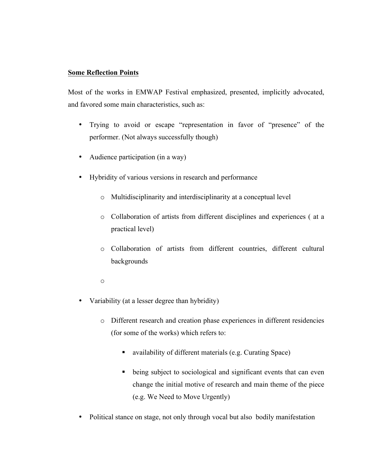#### **Some Reflection Points**

Most of the works in EMWAP Festival emphasized, presented, implicitly advocated, and favored some main characteristics, such as:

- Trying to avoid or escape "representation in favor of "presence" of the performer. (Not always successfully though)
- Audience participation (in a way)
- Hybridity of various versions in research and performance
	- o Multidisciplinarity and interdisciplinarity at a conceptual level
	- o Collaboration of artists from different disciplines and experiences ( at a practical level)
	- o Collaboration of artists from different countries, different cultural backgrounds
	- o
- Variability (at a lesser degree than hybridity)
	- o Different research and creation phase experiences in different residencies (for some of the works) which refers to:
		- ! availability of different materials (e.g. Curating Space)
		- ! being subject to sociological and significant events that can even change the initial motive of research and main theme of the piece (e.g. We Need to Move Urgently)
- Political stance on stage, not only through vocal but also bodily manifestation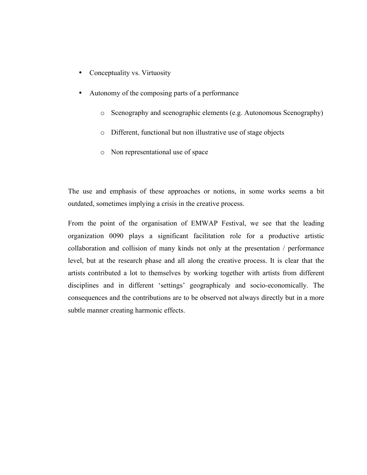- Conceptuality vs. Virtuosity
- Autonomy of the composing parts of a performance
	- o Scenography and scenographic elements (e.g. Autonomous Scenography)
	- o Different, functional but non illustrative use of stage objects
	- o Non representational use of space

The use and emphasis of these approaches or notions, in some works seems a bit outdated, sometimes implying a crisis in the creative process.

From the point of the organisation of EMWAP Festival, we see that the leading organization 0090 plays a significant facilitation role for a productive artistic collaboration and collision of many kinds not only at the presentation / performance level, but at the research phase and all along the creative process. It is clear that the artists contributed a lot to themselves by working together with artists from different disciplines and in different 'settings' geographicaly and socio-economically. The consequences and the contributions are to be observed not always directly but in a more subtle manner creating harmonic effects.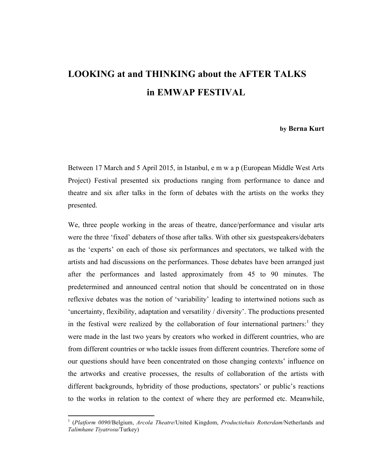### **LOOKING at and THINKING about the AFTER TALKS in EMWAP FESTIVAL**

#### **by Berna Kurt**

Between 17 March and 5 April 2015, in Istanbul, e m w a p (European Middle West Arts Project) Festival presented six productions ranging from performance to dance and theatre and six after talks in the form of debates with the artists on the works they presented.

We, three people working in the areas of theatre, dance/performance and visular arts were the three 'fixed' debaters of those after talks. With other six guestspeakers/debaters as the 'experts' on each of those six performances and spectators, we talked with the artists and had discussions on the performances. Those debates have been arranged just after the performances and lasted approximately from 45 to 90 minutes. The predetermined and announced central notion that should be concentrated on in those reflexive debates was the notion of 'variability' leading to intertwined notions such as 'uncertainty, flexibility, adaptation and versatility / diversity'. The productions presented in the festival were realized by the collaboration of four international partners:<sup>1</sup> they were made in the last two years by creators who worked in different countries, who are from different countries or who tackle issues from different countries. Therefore some of our questions should have been concentrated on those changing contexts' influence on the artworks and creative processes, the results of collaboration of the artists with different backgrounds, hybridity of those productions, spectators' or public's reactions to the works in relation to the context of where they are performed etc. Meanwhile,

<u> 1989 - Johann Stein, markin film yn y breninn y breninn y breninn y breninn y breninn y breninn y breninn y b</u>

<sup>1</sup> (*Platform 0090*/Belgium, *Arcola Theatre*/United Kingdom, *Productiehuis Rotterdam*/Netherlands and *Talimhane Tiyatrosu*/Turkey)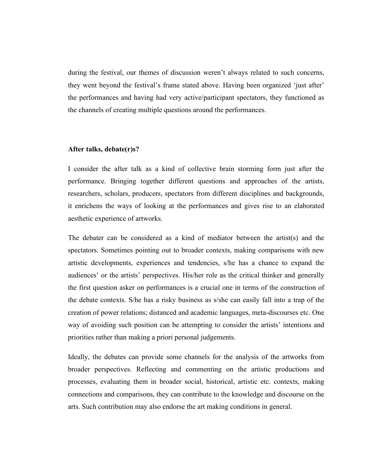during the festival, our themes of discussion weren't always related to such concerns, they went beyond the festival's frame stated above. Having been organized 'just after' the performances and having had very active/participant spectators, they functioned as the channels of creating multiple questions around the performances.

#### **After talks, debate(r)s?**

I consider the after talk as a kind of collective brain storming form just after the performance. Bringing together different questions and approaches of the artists, researchers, scholars, producers, spectators from different disciplines and backgrounds, it enrichens the ways of looking at the performances and gives rise to an elaborated aesthetic experience of artworks.

The debater can be considered as a kind of mediator between the artist(s) and the spectators. Sometimes pointing out to broader contexts, making comparisons with new artistic developments, experiences and tendencies, s/he has a chance to expand the audiences' or the artists' perspectives. His/her role as the critical thinker and generally the first question asker on performances is a crucial one in terms of the construction of the debate contexts. S/he has a risky business as s/she can easily fall into a trap of the creation of power relations; distanced and academic languages, meta-discourses etc. One way of avoiding such position can be attempting to consider the artists' intentions and priorities rather than making a priori personal judgements.

Ideally, the debates can provide some channels for the analysis of the artworks from broader perspectives. Reflecting and commenting on the artistic productions and processes, evaluating them in broader social, historical, artistic etc. contexts, making connections and comparisons, they can contribute to the knowledge and discourse on the arts. Such contribution may also endorse the art making conditions in general.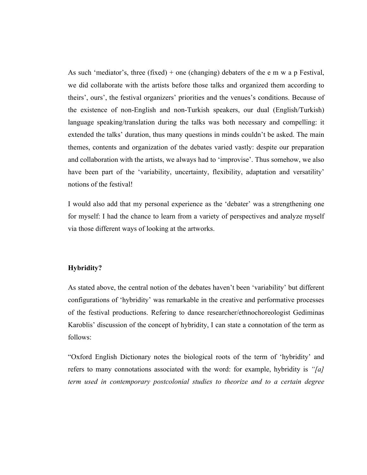As such 'mediator's, three  $(fixed)$  + one (changing) debaters of the e m w a p Festival, we did collaborate with the artists before those talks and organized them according to theirs', ours', the festival organizers' priorities and the venues's conditions. Because of the existence of non-English and non-Turkish speakers, our dual (English/Turkish) language speaking/translation during the talks was both necessary and compelling: it extended the talks' duration, thus many questions in minds couldn't be asked. The main themes, contents and organization of the debates varied vastly: despite our preparation and collaboration with the artists, we always had to 'improvise'. Thus somehow, we also have been part of the 'variability, uncertainty, flexibility, adaptation and versatility' notions of the festival!

I would also add that my personal experience as the 'debater' was a strengthening one for myself: I had the chance to learn from a variety of perspectives and analyze myself via those different ways of looking at the artworks.

#### **Hybridity?**

As stated above, the central notion of the debates haven't been 'variability' but different configurations of 'hybridity' was remarkable in the creative and performative processes of the festival productions. Refering to dance researcher/ethnochoreologist Gediminas Karoblis' discussion of the concept of hybridity, I can state a connotation of the term as follows:

"Oxford English Dictionary notes the biological roots of the term of 'hybridity' and refers to many connotations associated with the word: for example, hybridity is *"[a] term used in contemporary postcolonial studies to theorize and to a certain degree*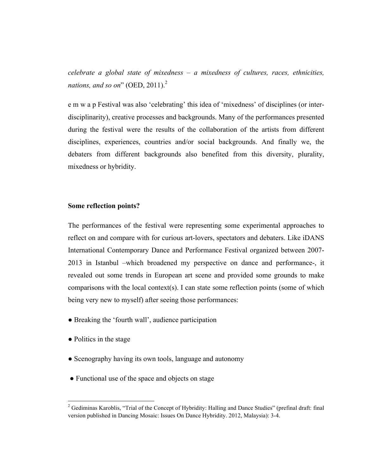*celebrate a global state of mixedness – a mixedness of cultures, races, ethnicities, nations, and so on*" (OED,  $2011$ ).<sup>2</sup>

e m w a p Festival was also 'celebrating' this idea of 'mixedness' of disciplines (or interdisciplinarity), creative processes and backgrounds. Many of the performances presented during the festival were the results of the collaboration of the artists from different disciplines, experiences, countries and/or social backgrounds. And finally we, the debaters from different backgrounds also benefited from this diversity, plurality, mixedness or hybridity.

#### **Some reflection points?**

The performances of the festival were representing some experimental approaches to reflect on and compare with for curious art-lovers, spectators and debaters. Like iDANS International Contemporary Dance and Performance Festival organized between 2007- 2013 in Istanbul –which broadened my perspective on dance and performance-, it revealed out some trends in European art scene and provided some grounds to make comparisons with the local context(s). I can state some reflection points (some of which being very new to myself) after seeing those performances:

- Breaking the 'fourth wall', audience participation
- Politics in the stage

<u> 1989 - Johann Stein, markin film yn y breninn y breninn y breninn y breninn y breninn y breninn y breninn y b</u>

- Scenography having its own tools, language and autonomy
- Functional use of the space and objects on stage

<sup>&</sup>lt;sup>2</sup> Gediminas Karoblis, "Trial of the Concept of Hybridity: Halling and Dance Studies" (prefinal draft: final version published in Dancing Mosaic: Issues On Dance Hybridity. 2012, Malaysia): 3-4.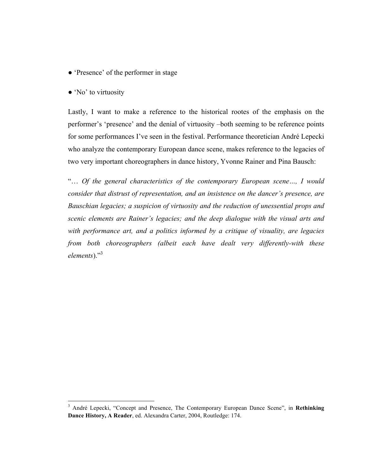- 'Presence' of the performer in stage
- 'No' to virtuosity

<u> 1989 - Johann Stein, markin film yn y breninn y breninn y breninn y breninn y breninn y breninn y breninn y b</u>

Lastly, I want to make a reference to the historical rootes of the emphasis on the performer's 'presence' and the denial of virtuosity –both seeming to be reference points for some performances I've seen in the festival. Performance theoretician André Lepecki who analyze the contemporary European dance scene, makes reference to the legacies of two very important choreographers in dance history, Yvonne Rainer and Pina Bausch:

"… *Of the general characteristics of the contemporary European scene…, I would consider that distrust of representation, and an insistence on the dancer's presence, are Bauschian legacies; a suspicion of virtuosity and the reduction of unessential props and scenic elements are Rainer's legacies; and the deep dialogue with the visual arts and with performance art, and a politics informed by a critique of visuality, are legacies from both choreographers (albeit each have dealt very differently-with these elements*)."3

<sup>3</sup> André Lepecki, "Concept and Presence, The Contemporary European Dance Scene", in **Rethinking Dance History, A Reader**, ed. Alexandra Carter, 2004, Routledge: 174.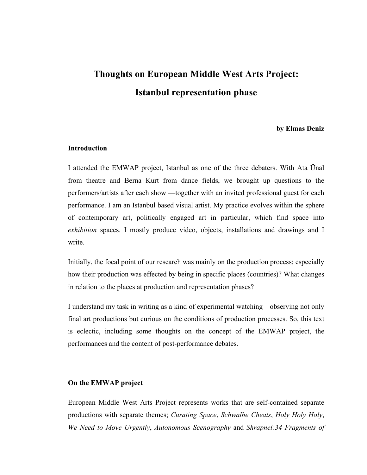## **Thoughts on European Middle West Arts Project: Istanbul representation phase**

#### **by Elmas Deniz**

#### **Introduction**

I attended the EMWAP project, Istanbul as one of the three debaters. With Ata Ünal from theatre and Berna Kurt from dance fields, we brought up questions to the performers/artists after each show —together with an invited professional guest for each performance. I am an Istanbul based visual artist. My practice evolves within the sphere of contemporary art, politically engaged art in particular, which find space into *exhibition* spaces. I mostly produce video, objects, installations and drawings and I write.

Initially, the focal point of our research was mainly on the production process; especially how their production was effected by being in specific places (countries)? What changes in relation to the places at production and representation phases?

I understand my task in writing as a kind of experimental watching—observing not only final art productions but curious on the conditions of production processes. So, this text is eclectic, including some thoughts on the concept of the EMWAP project, the performances and the content of post-performance debates.

#### **On the EMWAP project**

European Middle West Arts Project represents works that are self-contained separate productions with separate themes; *Curating Space*, *Schwalbe Cheats*, *Holy Holy Holy*, *We Need to Move Urgently*, *Autonomous Scenography* and *Shrapnel:34 Fragments of*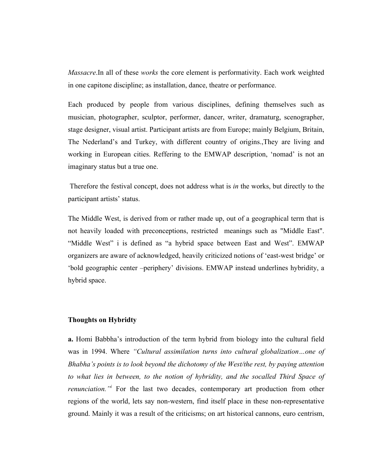*Massacre*.In all of these *works* the core element is performativity. Each work weighted in one capitone discipline; as installation, dance, theatre or performance.

Each produced by people from various disciplines, defining themselves such as musician, photographer, sculptor, performer, dancer, writer, dramaturg, scenographer, stage designer, visual artist. Participant artists are from Europe; mainly Belgium, Britain, The Nederland's and Turkey, with different country of origins.,They are living and working in European cities. Reffering to the EMWAP description, 'nomad' is not an imaginary status but a true one.

Therefore the festival concept, does not address what is *in* the works, but directly to the participant artists' status.

The Middle West, is derived from or rather made up, out of a geographical term that is not heavily loaded with preconceptions, restricted meanings such as "Middle East". "Middle West" i is defined as "a hybrid space between East and West". EMWAP organizers are aware of acknowledged, heavily criticized notions of 'east-west bridge' or 'bold geographic center –periphery' divisions. EMWAP instead underlines hybridity, a hybrid space.

#### **Thoughts on Hybridty**

**a.** Homi Babbha's introduction of the term hybrid from biology into the cultural field was in 1994. Where *"Cultural assimilation turns into cultural globalization…one of Bhabha's points is to look beyond the dichotomy of the West/the rest, by paying attention to what lies in between, to the notion of hybridity, and the socalled Third Space of renunciation."<sup>i</sup>* For the last two decades, contemporary art production from other regions of the world, lets say non-western, find itself place in these non-representative ground. Mainly it was a result of the criticisms; on art historical cannons, euro centrism,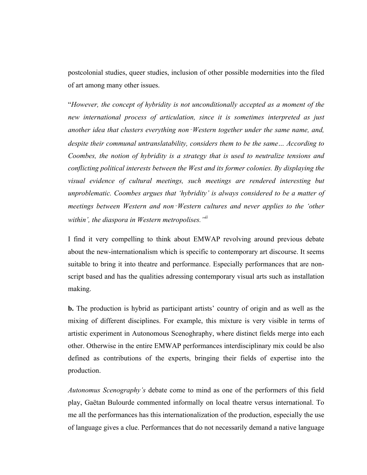postcolonial studies, queer studies, inclusion of other possible modernities into the filed of art among many other issues.

"*However, the concept of hybridity is not unconditionally accepted as a moment of the new international process of articulation, since it is sometimes interpreted as just another idea that clusters everything non*‑*Western together under the same name, and, despite their communal untranslatability, considers them to be the same… According to Coombes, the notion of hybridity is a strategy that is used to neutralize tensions and conflicting political interests between the West and its former colonies. By displaying the visual evidence of cultural meetings, such meetings are rendered interesting but unproblematic. Coombes argues that 'hybridity' is always considered to be a matter of meetings between Western and non*‑*Western cultures and never applies to the 'other within', the diaspora in Western metropolises."ii*

I find it very compelling to think about EMWAP revolving around previous debate about the new-internationalism which is specific to contemporary art discourse. It seems suitable to bring it into theatre and performance. Especially performances that are nonscript based and has the qualities adressing contemporary visual arts such as installation making.

**b.** The production is hybrid as participant artists' country of origin and as well as the mixing of different disciplines. For example, this mixture is very visible in terms of artistic experiment in Autonomous Scenoghraphy, where distinct fields merge into each other. Otherwise in the entire EMWAP performances interdisciplinary mix could be also defined as contributions of the experts, bringing their fields of expertise into the production.

*Autonomus Scenography's* debate come to mind as one of the performers of this field play, Gaëtan Bulourde commented informally on local theatre versus international. To me all the performances has this internationalization of the production, especially the use of language gives a clue. Performances that do not necessarily demand a native language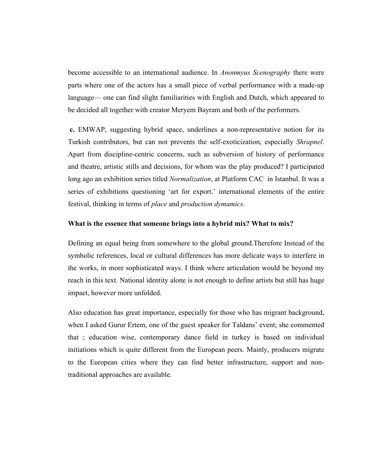become accessible to an international audience. In *Anonmyus Scenography* there were parts where one of the actors has a small piece of verbal performance with a made-up language— one can find slight familiarities with English and Dutch, which appeared to be decided all together with creator Meryem Bayram and both of the performers.

**c.** EMWAP, suggesting hybrid space, underlines a non-representative notion for its Turkish contributors, but can not prevents the self-exoticization, especially *Shrapnel*. Apart from discipline-centric concerns, such as subversion of history of performance and theatre, artistic stills and decisions, for whom was the play produced? I participated long ago an exhibition series titled *Normalization*, at Platform CAC in Istanbul. It was a series of exhibitions questioning 'art for export.' international elements of the entire festival, thinking in terms of *place* and *production dymamics.* 

#### **What is the essence that someone brings into a hybrid mix? What to mix?**

Defining an equal being from somewhere to the global ground.Therefore Instead of the symbolic references, local or cultural differences has more delicate ways to interfere in the works, in more sophisticated ways. I think where articulation would be beyond my reach in this text. National identity alone is not enough to define artists but still has huge impact, however more unfolded.

Also education has great importance, especially for those who has migrant background, when I asked Gurur Ertem, one of the guest speaker for Taldans' event; she commented that ; education wise, contemporary dance field in turkey is based on individual initiations which is quite different from the European peers. Mainly, producers migrate to the European cities where they can find better infrastructure, support and nontraditional approaches are available.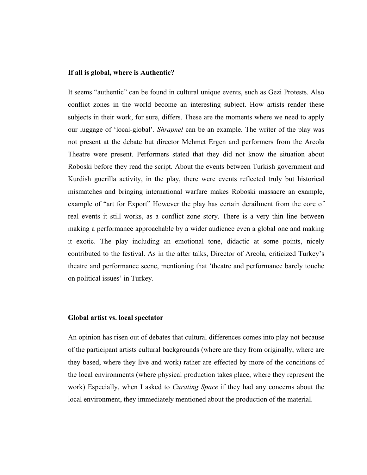#### **If all is global, where is Authentic?**

It seems "authentic" can be found in cultural unique events, such as Gezi Protests. Also conflict zones in the world become an interesting subject. How artists render these subjects in their work, for sure, differs. These are the moments where we need to apply our luggage of 'local-global'. *Shrapnel* can be an example. The writer of the play was not present at the debate but director Mehmet Ergen and performers from the Arcola Theatre were present. Performers stated that they did not know the situation about Roboski before they read the script. About the events between Turkish government and Kurdish guerilla activity, in the play, there were events reflected truly but historical mismatches and bringing international warfare makes Roboski massacre an example, example of "art for Export" However the play has certain derailment from the core of real events it still works, as a conflict zone story. There is a very thin line between making a performance approachable by a wider audience even a global one and making it exotic. The play including an emotional tone, didactic at some points, nicely contributed to the festival. As in the after talks, Director of Arcola, criticized Turkey's theatre and performance scene, mentioning that 'theatre and performance barely touche on political issues' in Turkey.

#### **Global artist vs. local spectator**

An opinion has risen out of debates that cultural differences comes into play not because of the participant artists cultural backgrounds (where are they from originally, where are they based, where they live and work) rather are effected by more of the conditions of the local environments (where physical production takes place, where they represent the work) Especially, when I asked to *Curating Space* if they had any concerns about the local environment, they immediately mentioned about the production of the material.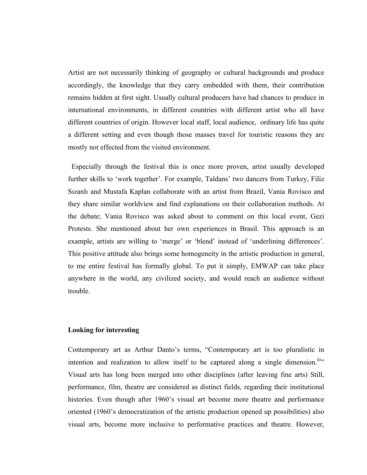Artist are not necessarily thinking of geography or cultural backgrounds and produce accordingly, the knowledge that they carry embedded with them, their contribution remains hidden at first sight. Usually cultural producers have had chances to produce in international environments, in different countries with different artist who all have different countries of origin. However local staff, local audience, ordinary life has quite a different setting and even though those masses travel for touristic reasons they are mostly not effected from the visited environment.

 Especially through the festival this is once more proven, artist usually developed further skills to 'work together'. For example, Taldans' two dancers from Turkey, Filiz Sızanlı and Mustafa Kaplan collaborate with an artist from Brazil, Vania Rovisco and they share similar worldview and find explanations on their collaboration methods. At the debate; Vania Rovisco was asked about to comment on this local event, Gezi Protests. She mentioned about her own experiences in Brasil. This approach is an example, artists are willing to 'merge' or 'blend' instead of 'underlining differences'. This positive attitude also brings some homogeneity in the artistic production in general, to me entire festival has formally global. To put it simply, EMWAP can take place anywhere in the world, any civilized society, and would reach an audience without trouble.

#### **Looking for interesting**

Contemporary art as Arthur Danto's terms, "Contemporary art is too pluralistic in intention and realization to allow itself to be captured along a single dimension.<sup>iii</sup> Visual arts has long been merged into other disciplines (after leaving fine arts) Still, performance, film, theatre are considered as distinct fields, regarding their institutional histories. Even though after 1960's visual art become more theatre and performance oriented (1960's democratization of the artistic production opened up possibilities) also visual arts, become more inclusive to performative practices and theatre. However,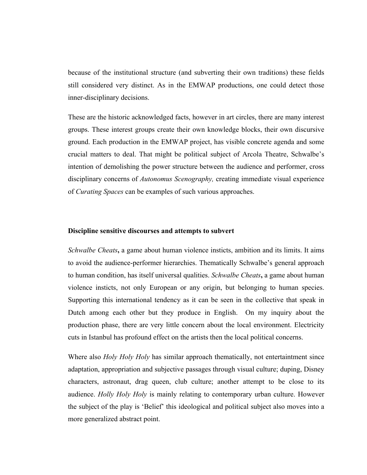because of the institutional structure (and subverting their own traditions) these fields still considered very distinct. As in the EMWAP productions, one could detect those inner-disciplinary decisions.

These are the historic acknowledged facts, however in art circles, there are many interest groups. These interest groups create their own knowledge blocks, their own discursive ground. Each production in the EMWAP project, has visible concrete agenda and some crucial matters to deal. That might be political subject of Arcola Theatre, Schwalbe's intention of demolishing the power structure between the audience and performer, cross disciplinary concerns of *Autonomus Scenography,* creating immediate visual experience of *Curating Spaces* can be examples of such various approaches.

#### **Discipline sensitive discourses and attempts to subvert**

*Schwalbe Cheats***,** a game about human violence insticts, ambition and its limits. It aims to avoid the audience-performer hierarchies. Thematically Schwalbe's general approach to human condition, has itself universal qualities. *Schwalbe Cheats***,** a game about human violence insticts, not only European or any origin, but belonging to human species. Supporting this international tendency as it can be seen in the collective that speak in Dutch among each other but they produce in English. On my inquiry about the production phase, there are very little concern about the local environment. Electricity cuts in Istanbul has profound effect on the artists then the local political concerns.

Where also *Holy Holy Holy* has similar approach thematically, not entertaintment since adaptation, appropriation and subjective passages through visual culture; duping, Disney characters, astronaut, drag queen, club culture; another attempt to be close to its audience. *Holly Holy Holy* is mainly relating to contemporary urban culture. However the subject of the play is 'Belief' this ideological and political subject also moves into a more generalized abstract point.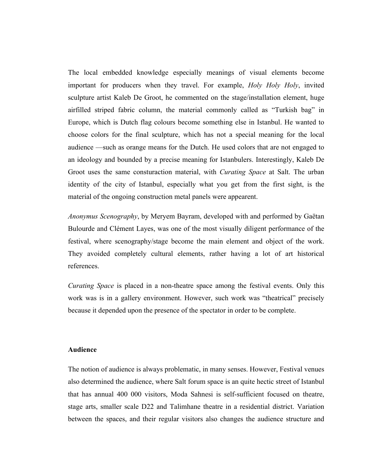The local embedded knowledge especially meanings of visual elements become important for producers when they travel. For example, *Holy Holy Holy*, invited sculpture artist Kaleb De Groot, he commented on the stage/installation element, huge airfilled striped fabric column, the material commonly called as "Turkish bag" in Europe, which is Dutch flag colours become something else in Istanbul. He wanted to choose colors for the final sculpture, which has not a special meaning for the local audience —such as orange means for the Dutch. He used colors that are not engaged to an ideology and bounded by a precise meaning for Istanbulers. Interestingly, Kaleb De Groot uses the same consturaction material, with *Curating Space* at Salt. The urban identity of the city of Istanbul, especially what you get from the first sight, is the material of the ongoing construction metal panels were appearent.

*Anonymus Scenography*, by Meryem Bayram, developed with and performed by Gaëtan Bulourde and Clément Layes, was one of the most visually diligent performance of the festival, where scenography/stage become the main element and object of the work. They avoided completely cultural elements, rather having a lot of art historical references.

*Curating Space* is placed in a non-theatre space among the festival events. Only this work was is in a gallery environment. However, such work was "theatrical" precisely because it depended upon the presence of the spectator in order to be complete.

#### **Audience**

The notion of audience is always problematic, in many senses. However, Festival venues also determined the audience, where Salt forum space is an quite hectic street of Istanbul that has annual 400 000 visitors, Moda Sahnesi is self-sufficient focused on theatre, stage arts, smaller scale D22 and Talimhane theatre in a residential district. Variation between the spaces, and their regular visitors also changes the audience structure and